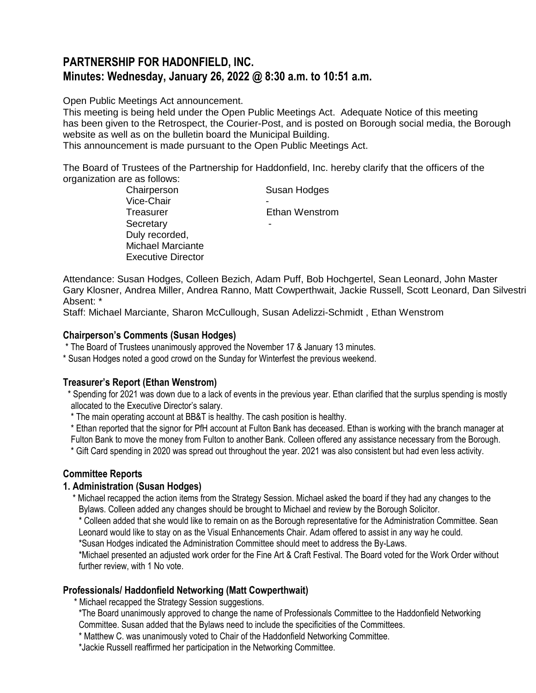# **PARTNERSHIP FOR HADONFIELD, INC. Minutes: Wednesday, January 26, 2022 @ 8:30 a.m. to 10:51 a.m.**

Open Public Meetings Act announcement.

This meeting is being held under the Open Public Meetings Act. Adequate Notice of this meeting has been given to the Retrospect, the Courier-Post, and is posted on Borough social media, the Borough website as well as on the bulletin board the Municipal Building.

This announcement is made pursuant to the Open Public Meetings Act.

The Board of Trustees of the Partnership for Haddonfield, Inc. hereby clarify that the officers of the organization are as follows:

| Chairperson               | Susan Hodges   |
|---------------------------|----------------|
| Vice-Chair                |                |
| Treasurer                 | Ethan Wenstrom |
| Secretary                 |                |
| Duly recorded,            |                |
| <b>Michael Marciante</b>  |                |
| <b>Executive Director</b> |                |

Attendance: Susan Hodges, Colleen Bezich, Adam Puff, Bob Hochgertel, Sean Leonard, John Master Gary Klosner, Andrea Miller, Andrea Ranno, Matt Cowperthwait, Jackie Russell, Scott Leonard, Dan Silvestri Absent: \*

Staff: Michael Marciante, Sharon McCullough, Susan Adelizzi-Schmidt , Ethan Wenstrom

#### **Chairperson's Comments (Susan Hodges)**

\* The Board of Trustees unanimously approved the November 17 & January 13 minutes.

\* Susan Hodges noted a good crowd on the Sunday for Winterfest the previous weekend.

## **Treasurer's Report (Ethan Wenstrom)**

 \* Spending for 2021 was down due to a lack of events in the previous year. Ethan clarified that the surplus spending is mostly allocated to the Executive Director's salary.

\* The main operating account at BB&T is healthy. The cash position is healthy.

\* Ethan reported that the signor for PfH account at Fulton Bank has deceased. Ethan is working with the branch manager at Fulton Bank to move the money from Fulton to another Bank. Colleen offered any assistance necessary from the Borough.

\* Gift Card spending in 2020 was spread out throughout the year. 2021 was also consistent but had even less activity.

## **Committee Reports**

## **1. Administration (Susan Hodges)**

\* Michael recapped the action items from the Strategy Session. Michael asked the board if they had any changes to the Bylaws. Colleen added any changes should be brought to Michael and review by the Borough Solicitor.

\* Colleen added that she would like to remain on as the Borough representative for the Administration Committee. Sean Leonard would like to stay on as the Visual Enhancements Chair. Adam offered to assist in any way he could.

\*Susan Hodges indicated the Administration Committee should meet to address the By-Laws.

\*Michael presented an adjusted work order for the Fine Art & Craft Festival. The Board voted for the Work Order without further review, with 1 No vote.

## **Professionals/ Haddonfield Networking (Matt Cowperthwait)**

\* Michael recapped the Strategy Session suggestions.

\*The Board unanimously approved to change the name of Professionals Committee to the Haddonfield Networking Committee. Susan added that the Bylaws need to include the specificities of the Committees.

\* Matthew C. was unanimously voted to Chair of the Haddonfield Networking Committee.

\*Jackie Russell reaffirmed her participation in the Networking Committee.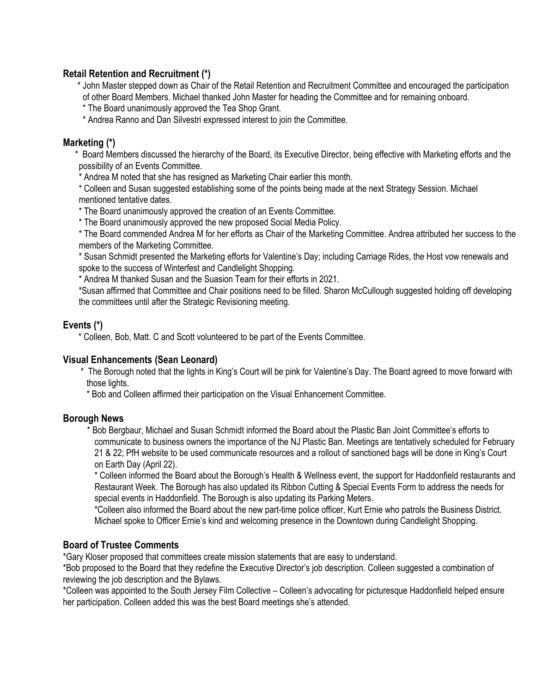## **Retail Retention and Recruitment (\*)**

 \* John Master stepped down as Chair of the Retail Retention and Recruitment Committee and encouraged the participation of other Board Members. Michael thanked John Master for heading the Committee and for remaining onboard.

\* The Board unanimously approved the Tea Shop Grant.

\* Andrea Ranno and Dan Silvestri expressed interest to join the Committee.

## **Marketing (\*)**

 \* Board Members discussed the hierarchy of the Board, its Executive Director, being effective with Marketing efforts and the possibility of an Events Committee.

\* Andrea M noted that she has resigned as Marketing Chair earlier this month.

\* Colleen and Susan suggested establishing some of the points being made at the next Strategy Session. Michael mentioned tentative dates.

\* The Board unanimously approved the creation of an Events Committee.

\* The Board unanimously approved the new proposed Social Media Policy.

\* The Board commended Andrea M for her efforts as Chair of the Marketing Committee. Andrea attributed her success to the members of the Marketing Committee.

\* Susan Schmidt presented the Marketing efforts for Valentine's Day; including Carriage Rides, the Host vow renewals and spoke to the success of Winterfest and Candlelight Shopping.

\* Andrea M thanked Susan and the Suasion Team for their efforts in 2021.

\*Susan affirmed that Committee and Chair positions need to be filled. Sharon McCullough suggested holding off developing the committees until after the Strategic Revisioning meeting.

## **Events (\*)**

\* Colleen, Bob, Matt. C and Scott volunteered to be part of the Events Committee.

## **Visual Enhancements (Sean Leonard)**

 \* The Borough noted that the lights in King's Court will be pink for Valentine's Day. The Board agreed to move forward with those lights.

\* Bob and Colleen affirmed their participation on the Visual Enhancement Committee.

## **Borough News**

 \* Bob Bergbaur, Michael and Susan Schmidt informed the Board about the Plastic Ban Joint Committee's efforts to communicate to business owners the importance of the NJ Plastic Ban. Meetings are tentatively scheduled for February 21 & 22; PfH website to be used communicate resources and a rollout of sanctioned bags will be done in King's Court on Earth Day (April 22).

\* Colleen informed the Board about the Borough's Health & Wellness event, the support for Haddonfield restaurants and Restaurant Week. The Borough has also updated its Ribbon Cutting & Special Events Form to address the needs for special events in Haddonfield. The Borough is also updating its Parking Meters.

\*Colleen also informed the Board about the new part-time police officer, Kurt Ernie who patrols the Business District. Michael spoke to Officer Ernie's kind and welcoming presence in the Downtown during Candlelight Shopping.

## **Board of Trustee Comments**

\*Gary Kloser proposed that committees create mission statements that are easy to understand.

\*Bob proposed to the Board that they redefine the Executive Director's job description. Colleen suggested a combination of reviewing the job description and the Bylaws.

\*Colleen was appointed to the South Jersey Film Collective – Colleen's advocating for picturesque Haddonfield helped ensure her participation. Colleen added this was the best Board meetings she's attended.